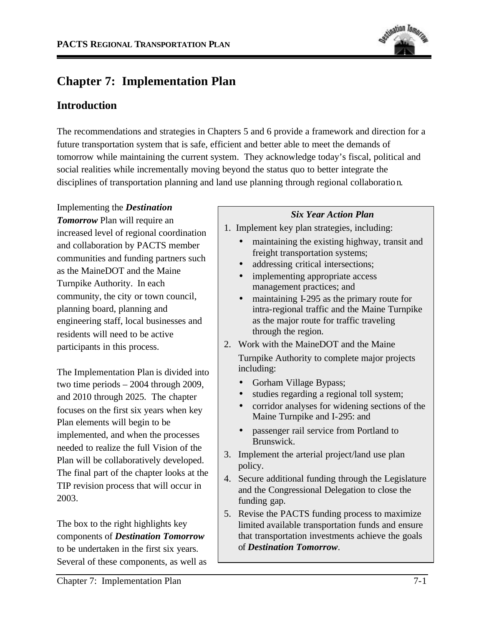

# **Chapter 7: Implementation Plan**

# **Introduction**

The recommendations and strategies in Chapters 5 and 6 provide a framework and direction for a future transportation system that is safe, efficient and better able to meet the demands of tomorrow while maintaining the current system. They acknowledge today's fiscal, political and social realities while incrementally moving beyond the status quo to better integrate the disciplines of transportation planning and land use planning through regional collaboration.

Implementing the *Destination Tomorrow* Plan will require an increased level of regional coordination and collaboration by PACTS member communities and funding partners such as the MaineDOT and the Maine Turnpike Authority. In each community, the city or town council, planning board, planning and engineering staff, local businesses and residents will need to be active participants in this process.

The Implementation Plan is divided into two time periods – 2004 through 2009, and 2010 through 2025. The chapter focuses on the first six years when key Plan elements will begin to be implemented, and when the processes needed to realize the full Vision of the Plan will be collaboratively developed. The final part of the chapter looks at the TIP revision process that will occur in 2003.

The box to the right highlights key components of *Destination Tomorrow*  to be undertaken in the first six years. Several of these components, as well as

## *Six Year Action Plan*

- 1. Implement key plan strategies, including:
	- maintaining the existing highway, transit and freight transportation systems;
	- addressing critical intersections;
	- implementing appropriate access management practices; and
	- maintaining I-295 as the primary route for intra-regional traffic and the Maine Turnpike as the major route for traffic traveling through the region.
- 2. Work with the MaineDOT and the Maine Turnpike Authority to complete major projects including:
	- Gorham Village Bypass;
	- studies regarding a regional toll system;
	- corridor analyses for widening sections of the Maine Turnpike and I-295: and
	- passenger rail service from Portland to Brunswick.
- 3. Implement the arterial project/land use plan policy.
- 4. Secure additional funding through the Legislature and the Congressional Delegation to close the funding gap.
- 5. Revise the PACTS funding process to maximize limited available transportation funds and ensure that transportation investments achieve the goals of *Destination Tomorrow*.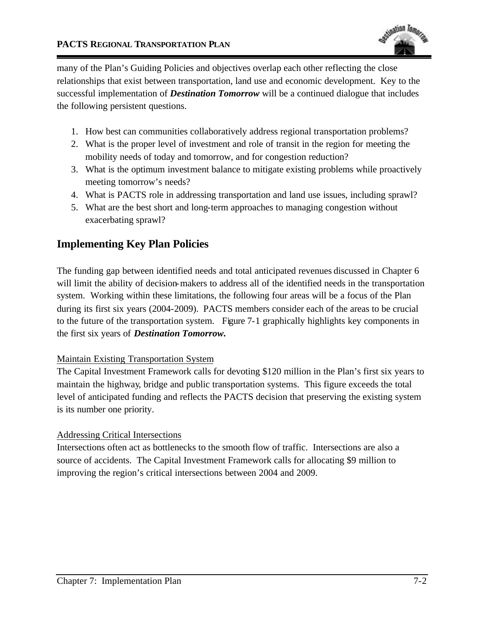

many of the Plan's Guiding Policies and objectives overlap each other reflecting the close relationships that exist between transportation, land use and economic development. Key to the successful implementation of *Destination Tomorrow* will be a continued dialogue that includes the following persistent questions.

- 1. How best can communities collaboratively address regional transportation problems?
- 2. What is the proper level of investment and role of transit in the region for meeting the mobility needs of today and tomorrow, and for congestion reduction?
- 3. What is the optimum investment balance to mitigate existing problems while proactively meeting tomorrow's needs?
- 4. What is PACTS role in addressing transportation and land use issues, including sprawl?
- 5. What are the best short and long-term approaches to managing congestion without exacerbating sprawl?

## **Implementing Key Plan Policies**

The funding gap between identified needs and total anticipated revenues discussed in Chapter 6 will limit the ability of decision-makers to address all of the identified needs in the transportation system. Working within these limitations, the following four areas will be a focus of the Plan during its first six years (2004-2009). PACTS members consider each of the areas to be crucial to the future of the transportation system. Figure 7-1 graphically highlights key components in the first six years of *Destination Tomorrow.* 

#### Maintain Existing Transportation System

The Capital Investment Framework calls for devoting \$120 million in the Plan's first six years to maintain the highway, bridge and public transportation systems. This figure exceeds the total level of anticipated funding and reflects the PACTS decision that preserving the existing system is its number one priority.

#### Addressing Critical Intersections

Intersections often act as bottlenecks to the smooth flow of traffic. Intersections are also a source of accidents. The Capital Investment Framework calls for allocating \$9 million to improving the region's critical intersections between 2004 and 2009.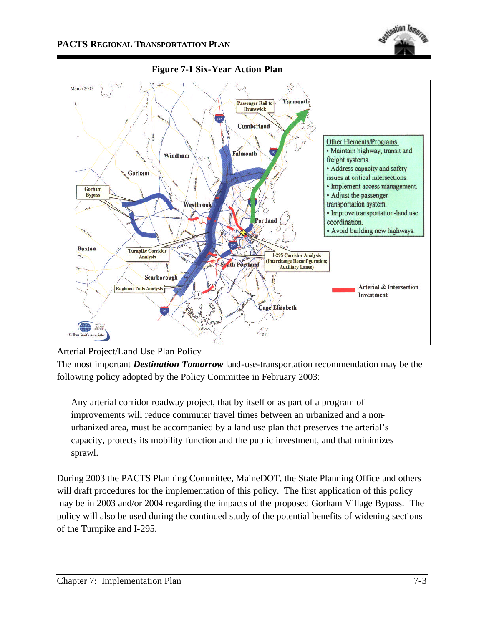



**Figure 7-1 Six-Year Action Plan**

The most important *Destination Tomorrow* land-use-transportation recommendation may be the following policy adopted by the Policy Committee in February 2003:

Any arterial corridor roadway project, that by itself or as part of a program of improvements will reduce commuter travel times between an urbanized and a nonurbanized area, must be accompanied by a land use plan that preserves the arterial's capacity, protects its mobility function and the public investment, and that minimizes sprawl.

During 2003 the PACTS Planning Committee, MaineDOT, the State Planning Office and others will draft procedures for the implementation of this policy. The first application of this policy may be in 2003 and/or 2004 regarding the impacts of the proposed Gorham Village Bypass. The policy will also be used during the continued study of the potential benefits of widening sections of the Turnpike and I-295.

Arterial Project/Land Use Plan Policy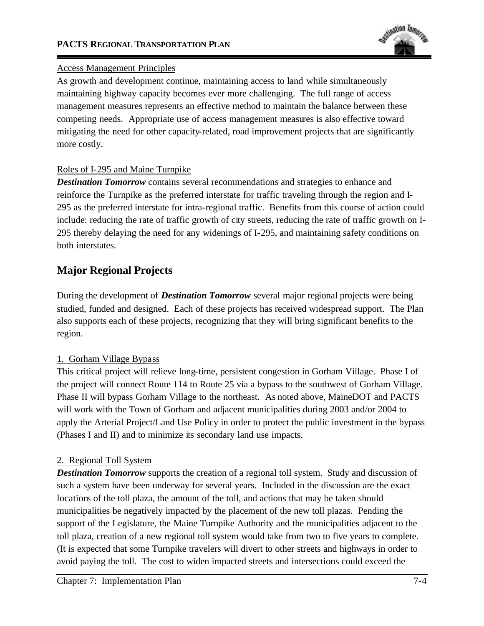

#### Access Management Principles

As growth and development continue, maintaining access to land while simultaneously maintaining highway capacity becomes ever more challenging. The full range of access management measures represents an effective method to maintain the balance between these competing needs. Appropriate use of access management measures is also effective toward mitigating the need for other capacity-related, road improvement projects that are significantly more costly.

### Roles of I-295 and Maine Turnpike

**Destination Tomorrow** contains several recommendations and strategies to enhance and reinforce the Turnpike as the preferred interstate for traffic traveling through the region and I-295 as the preferred interstate for intra-regional traffic. Benefits from this course of action could include: reducing the rate of traffic growth of city streets, reducing the rate of traffic growth on I-295 thereby delaying the need for any widenings of I-295, and maintaining safety conditions on both interstates.

# **Major Regional Projects**

During the development of *Destination Tomorrow* several major regional projects were being studied, funded and designed. Each of these projects has received widespread support. The Plan also supports each of these projects, recognizing that they will bring significant benefits to the region.

## 1. Gorham Village Bypass

This critical project will relieve long-time, persistent congestion in Gorham Village. Phase I of the project will connect Route 114 to Route 25 via a bypass to the southwest of Gorham Village. Phase II will bypass Gorham Village to the northeast. As noted above, MaineDOT and PACTS will work with the Town of Gorham and adjacent municipalities during 2003 and/or 2004 to apply the Arterial Project/Land Use Policy in order to protect the public investment in the bypass (Phases I and II) and to minimize its secondary land use impacts.

## 2. Regional Toll System

*Destination Tomorrow* supports the creation of a regional toll system. Study and discussion of such a system have been underway for several years. Included in the discussion are the exact locations of the toll plaza, the amount of the toll, and actions that may be taken should municipalities be negatively impacted by the placement of the new toll plazas. Pending the support of the Legislature, the Maine Turnpike Authority and the municipalities adjacent to the toll plaza, creation of a new regional toll system would take from two to five years to complete. (It is expected that some Turnpike travelers will divert to other streets and highways in order to avoid paying the toll. The cost to widen impacted streets and intersections could exceed the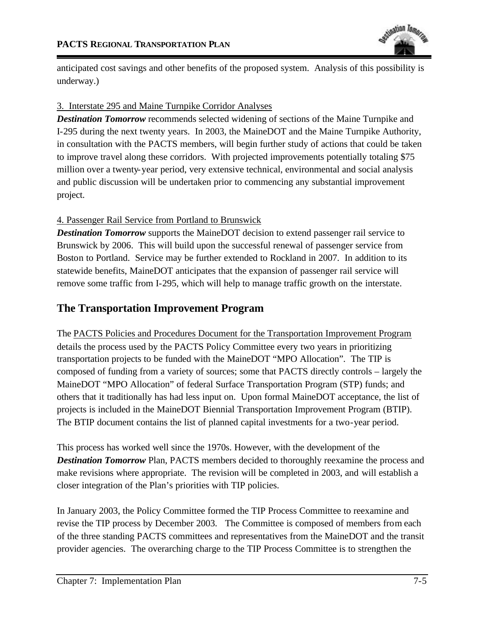

anticipated cost savings and other benefits of the proposed system. Analysis of this possibility is underway.)

### 3. Interstate 295 and Maine Turnpike Corridor Analyses

**Destination Tomorrow** recommends selected widening of sections of the Maine Turnpike and I-295 during the next twenty years. In 2003, the MaineDOT and the Maine Turnpike Authority, in consultation with the PACTS members, will begin further study of actions that could be taken to improve travel along these corridors. With projected improvements potentially totaling \$75 million over a twenty-year period, very extensive technical, environmental and social analysis and public discussion will be undertaken prior to commencing any substantial improvement project.

## 4. Passenger Rail Service from Portland to Brunswick

*Destination Tomorrow* supports the MaineDOT decision to extend passenger rail service to Brunswick by 2006. This will build upon the successful renewal of passenger service from Boston to Portland. Service may be further extended to Rockland in 2007. In addition to its statewide benefits, MaineDOT anticipates that the expansion of passenger rail service will remove some traffic from I-295, which will help to manage traffic growth on the interstate.

# **The Transportation Improvement Program**

The PACTS Policies and Procedures Document for the Transportation Improvement Program details the process used by the PACTS Policy Committee every two years in prioritizing transportation projects to be funded with the MaineDOT "MPO Allocation". The TIP is composed of funding from a variety of sources; some that PACTS directly controls – largely the MaineDOT "MPO Allocation" of federal Surface Transportation Program (STP) funds; and others that it traditionally has had less input on. Upon formal MaineDOT acceptance, the list of projects is included in the MaineDOT Biennial Transportation Improvement Program (BTIP). The BTIP document contains the list of planned capital investments for a two-year period.

This process has worked well since the 1970s. However, with the development of the **Destination Tomorrow** Plan, PACTS members decided to thoroughly reexamine the process and make revisions where appropriate. The revision will be completed in 2003, and will establish a closer integration of the Plan's priorities with TIP policies.

In January 2003, the Policy Committee formed the TIP Process Committee to reexamine and revise the TIP process by December 2003. The Committee is composed of members from each of the three standing PACTS committees and representatives from the MaineDOT and the transit provider agencies. The overarching charge to the TIP Process Committee is to strengthen the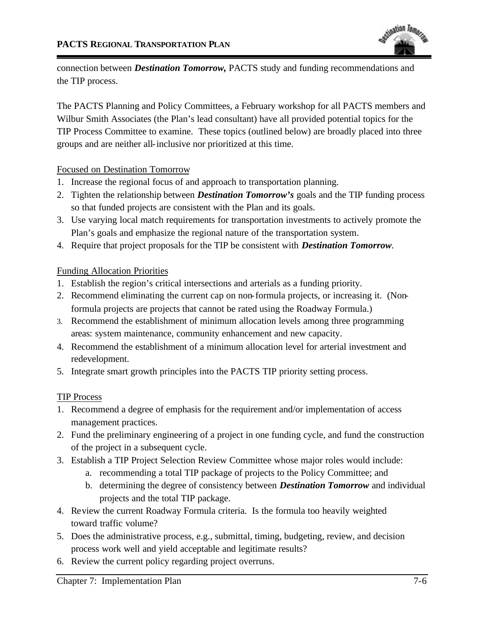

connection between *Destination Tomorrow,* PACTS study and funding recommendations and the TIP process.

The PACTS Planning and Policy Committees, a February workshop for all PACTS members and Wilbur Smith Associates (the Plan's lead consultant) have all provided potential topics for the TIP Process Committee to examine. These topics (outlined below) are broadly placed into three groups and are neither all-inclusive nor prioritized at this time.

Focused on Destination Tomorrow

- 1. Increase the regional focus of and approach to transportation planning.
- 2. Tighten the relationship between *Destination Tomorrow's* goals and the TIP funding process so that funded projects are consistent with the Plan and its goals.
- 3. Use varying local match requirements for transportation investments to actively promote the Plan's goals and emphasize the regional nature of the transportation system.
- 4. Require that project proposals for the TIP be consistent with *Destination Tomorrow.*

#### Funding Allocation Priorities

- 1. Establish the region's critical intersections and arterials as a funding priority.
- 2. Recommend eliminating the current cap on non-formula projects, or increasing it. (Nonformula projects are projects that cannot be rated using the Roadway Formula.)
- 3. Recommend the establishment of minimum allocation levels among three programming areas: system maintenance, community enhancement and new capacity.
- 4. Recommend the establishment of a minimum allocation level for arterial investment and redevelopment.
- 5. Integrate smart growth principles into the PACTS TIP priority setting process.

#### TIP Process

- 1. Recommend a degree of emphasis for the requirement and/or implementation of access management practices.
- 2. Fund the preliminary engineering of a project in one funding cycle, and fund the construction of the project in a subsequent cycle.
- 3. Establish a TIP Project Selection Review Committee whose major roles would include:
	- a. recommending a total TIP package of projects to the Policy Committee; and
	- b. determining the degree of consistency between *Destination Tomorrow* and individual projects and the total TIP package.
- 4. Review the current Roadway Formula criteria. Is the formula too heavily weighted toward traffic volume?
- 5. Does the administrative process, e.g., submittal, timing, budgeting, review, and decision process work well and yield acceptable and legitimate results?
- 6. Review the current policy regarding project overruns.